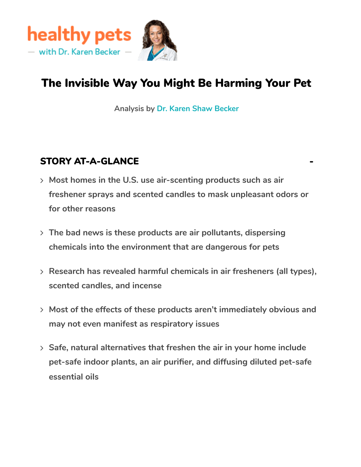

## The Invisible Way You Might Be Harming Your Pet

**Analysis by Dr. Karen Shaw [Becker](https://healthypets.mercola.com/sites/healthypets/dr-karen-becker.aspx)**

#### **STORY AT-A-GLANCE**

- **Most homes in the U.S. use air-scenting products such as air freshener sprays and scented candles to mask unpleasant odors or for other reasons**
- **The bad news is these products are air pollutants, dispersing chemicals into the environment that are dangerous for pets**
- **Research has revealed harmful chemicals in air fresheners (all types), scented candles, and incense**
- **Most of the effects of these products aren't immediately obvious and may not even manifest as respiratory issues**
- **Safe, natural alternatives that freshen the air in your home include pet-safe indoor plants, an air purifier, and diffusing diluted pet-safe essential oils**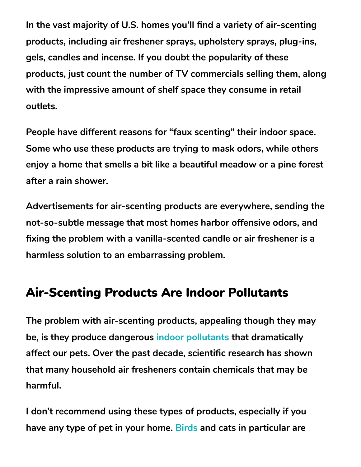**In the vast majority of U.S. homes you'll find a variety of air-scenting products, including air freshener sprays, upholstery sprays, plug-ins, gels, candles and incense. If you doubt the popularity of these products, just count the number of TV commercials selling them, along with the impressive amount of shelf space they consume in retail outlets.**

**People have different reasons for "faux scenting" their indoor space. Some who use these products are trying to mask odors, while others enjoy a home that smells a bit like a beautiful meadow or a pine forest after a rain shower.**

**Advertisements for air-scenting products are everywhere, sending the not-so-subtle message that most homes harbor offensive odors, and fixing the problem with a vanilla-scented candle or air freshener is a harmless solution to an embarrassing problem.**

## Air-Scenting Products Are Indoor Pollutants

**The problem with air-scenting products, appealing though they may be, is they produce dangerous indoor [pollutants](https://healthypets.mercola.com/sites/healthypets/archive/2015/05/07/reduce-pet-toxic-loads.aspx) that dramatically affect our pets. Over the past decade, scientific research has shown that many household air fresheners contain chemicals that may be harmful.**

**I don't recommend using these types of products, especially if you have any type of pet in your home. [Birds](https://healthypets.mercola.com/sites/healthypets/archive/2014/11/17/household-hazards-pet-birds.aspx) and cats in particular are**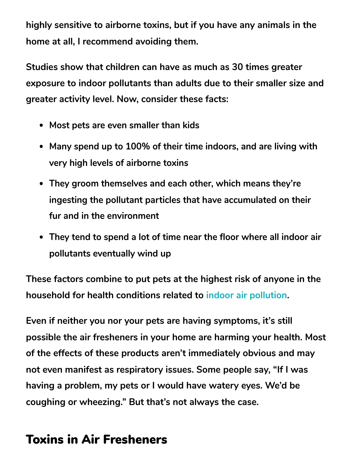**highly sensitive to airborne toxins, but if you have any animals in the home at all, I recommend avoiding them.**

**Studies show that children can have as much as 30 times greater exposure to indoor pollutants than adults due to their smaller size and greater activity level. Now, consider these facts:**

- **Most pets are even smaller than kids**
- **Many spend up to 100% of their time indoors, and are living with very high levels of airborne toxins**
- **They groom themselves and each other, which means they're ingesting the pollutant particles that have accumulated on their fur and in the environment**
- **They tend to spend a lot of time near the floor where all indoor air pollutants eventually wind up**

**These factors combine to put pets at the highest risk of anyone in the household for health conditions related to indoor air [pollution.](https://healthypets.mercola.com/sites/healthypets/archive/2020/02/15/citrus-cleaner-and-bleach.aspx)**

**Even if neither you nor your pets are having symptoms, it's still possible the air fresheners in your home are harming your health. Most of the effects of these products aren't immediately obvious and may not even manifest as respiratory issues. Some people say, "If I was having a problem, my pets or I would have watery eyes. We'd be coughing or wheezing." But that's not always the case.**

## Toxins in Air Fresheners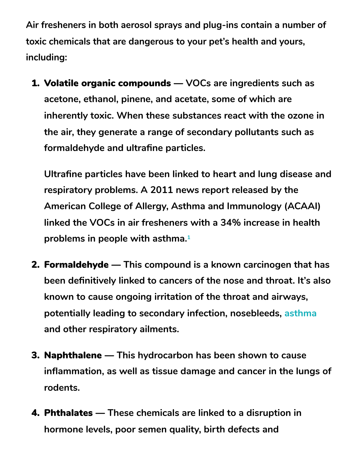**Air fresheners in both aerosol sprays and plug-ins contain a number of toxic chemicals that are dangerous to your pet's health and yours, including:**

1. Volatile organic compounds — **VOCs are ingredients such as acetone, ethanol, pinene, and acetate, some of which are inherently toxic. When these substances react with the ozone in the air, they generate a range of secondary pollutants such as formaldehyde and ultrafine particles.**

**Ultrafine particles have been linked to heart and lung disease and respiratory problems. A 2011 news report released by the American College of Allergy, Asthma and Immunology (ACAAI) linked the VOCs in air fresheners with a 34% increase in health problems in people with asthma. 1**

- 2. Formaldehyde **This compound is a known carcinogen that has been definitively linked to cancers of the nose and throat. It's also known to cause ongoing irritation of the throat and airways, potentially leading to secondary infection, nosebleeds, [asthma](https://healthypets.mercola.com/sites/healthypets/archive/2017/05/09/cat-asthma.aspx) and other respiratory ailments.**
- 3. Naphthalene **This hydrocarbon has been shown to cause inflammation, as well as tissue damage and cancer in the lungs of rodents.**
- 4. Phthalates **These chemicals are linked to a disruption in hormone levels, poor semen quality, birth defects and**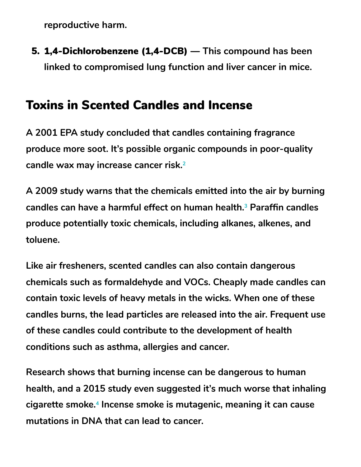**reproductive harm.**

5. 1,4-Dichlorobenzene (1,4-DCB) — **This compound has been linked to compromised lung function and liver cancer in mice.**

## Toxins in Scented Candles and Incense

**A 2001 EPA study concluded that candles containing fragrance produce more soot. It's possible organic compounds in poor-quality candle wax may increase cancer risk. 2**

**A 2009 study warns that the chemicals emitted into the air by burning candles can have a harmful effect on human health. Paraffin candles 3 produce potentially toxic chemicals, including alkanes, alkenes, and toluene.**

**Like air fresheners, scented candles can also contain dangerous chemicals such as formaldehyde and VOCs. Cheaply made candles can contain toxic levels of heavy metals in the wicks. When one of these candles burns, the lead particles are released into the air. Frequent use of these candles could contribute to the development of health conditions such as asthma, allergies and cancer.**

**Research shows that burning incense can be dangerous to human health, and a 2015 study even suggested it's much worse that inhaling cigarette smoke. Incense smoke is mutagenic, meaning it can cause 4mutations in DNA that can lead to cancer.**